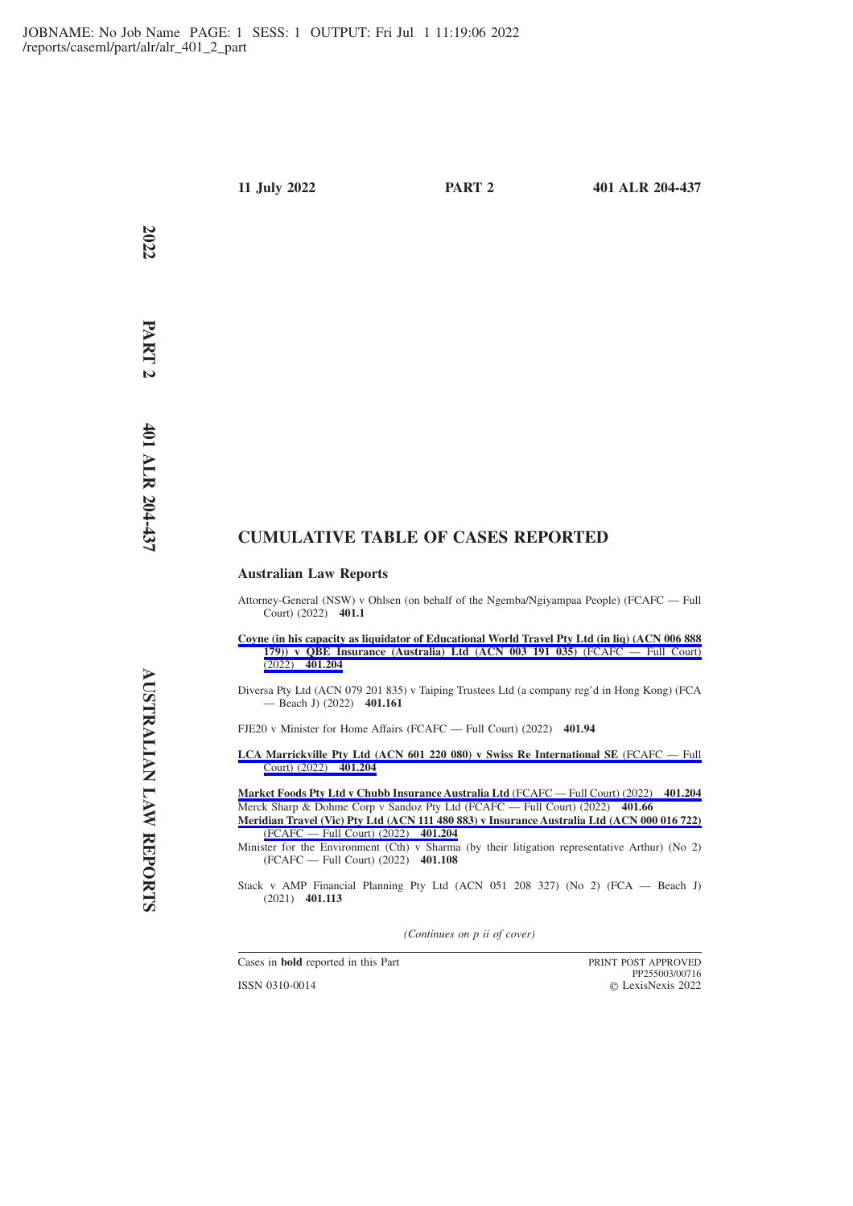**2022**

# **CUMULATIVE TABLE OF CASES REPORTED**

# **Australian Law Reports**

- Attorney-General (NSW) v Ohlsen (on behalf of the Ngemba/Ngiyampaa People) (FCAFC Full Court) (2022) **401.1**
- **[Coyne \(in his capacity as liquidator of Educational World Travel Pty Ltd \(in liq\) \(ACN 006 888](https://advance.lexis.com/api/permalink/a8c42551-b53e-4eda-9942-3b27cc3d1bd4/?context=1201008) [179\)\) v QBE Insurance \(Australia\) Ltd \(ACN 003 191 035\)](https://advance.lexis.com/api/permalink/a8c42551-b53e-4eda-9942-3b27cc3d1bd4/?context=1201008)** (FCAFC — Full Court) (2022) **[401.204](https://advance.lexis.com/api/permalink/a8c42551-b53e-4eda-9942-3b27cc3d1bd4/?context=1201008)**
- Diversa Pty Ltd (ACN 079 201 835) v Taiping Trustees Ltd (a company reg'd in Hong Kong) (FCA — Beach J) (2022) **401.161**

FJE20 v Minister for Home Affairs (FCAFC — Full Court) (2022) **401.94**

**[LCA Marrickville Pty Ltd \(ACN 601 220 080\) v Swiss Re International SE](https://advance.lexis.com/api/permalink/a8c42551-b53e-4eda-9942-3b27cc3d1bd4/?context=1201008)** (FCAFC — Full [Court\) \(2022\)](https://advance.lexis.com/api/permalink/a8c42551-b53e-4eda-9942-3b27cc3d1bd4/?context=1201008) **401.204**

**[Market Foods Pty Ltd v Chubb Insurance Australia Ltd](https://advance.lexis.com/api/permalink/a8c42551-b53e-4eda-9942-3b27cc3d1bd4/?context=1201008)** (FCAFC — Full Court) (2022) **401.204** Merck Sharp & Dohme Corp v Sandoz Pty Ltd (FCAFC — Full Court) (2022) **401.66**

**[Meridian Travel \(Vic\) Pty Ltd \(ACN 111 480 883\) v Insurance Australia Ltd \(ACN 000 016 722\)](https://advance.lexis.com/api/permalink/a8c42551-b53e-4eda-9942-3b27cc3d1bd4/?context=1201008)** [\(FCAFC — Full Court\) \(2022\)](https://advance.lexis.com/api/permalink/a8c42551-b53e-4eda-9942-3b27cc3d1bd4/?context=1201008) **401.204**

Minister for the Environment (Cth) v Sharma (by their litigation representative Arthur) (No 2) (FCAFC — Full Court) (2022) **401.108**

Stack v AMP Financial Planning Pty Ltd (ACN 051 208 327) (No 2) (FCA — Beach J) (2021) **401.113**

*(Continues on p ii of cover)*

Cases in **bold** reported in this Part PRINT POST APPROVED

ISSN 0310-0014

PP255003/00716 LexisNexis 2022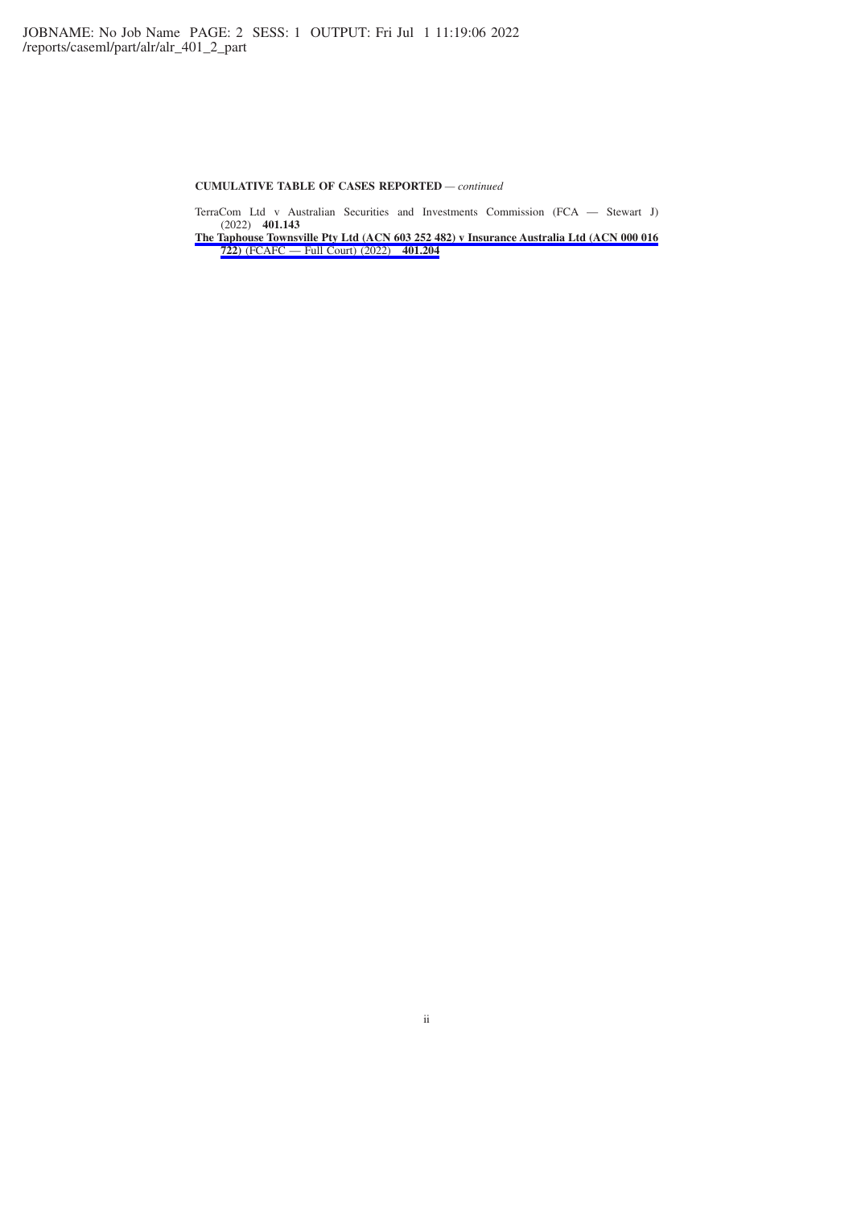## **CUMULATIVE TABLE OF CASES REPORTED** *— continued*

TerraCom Ltd v Australian Securities and Investments Commission (FCA — Stewart J) (2022) **401.143**

**[The Taphouse Townsville Pty Ltd \(ACN 603 252 482\) v Insurance Australia Ltd \(ACN 000 016](https://advance.lexis.com/api/permalink/a8c42551-b53e-4eda-9942-3b27cc3d1bd4/?context=1201008) 722)** [\(FCAFC — Full Court\) \(2022\)](https://advance.lexis.com/api/permalink/a8c42551-b53e-4eda-9942-3b27cc3d1bd4/?context=1201008) **401.204**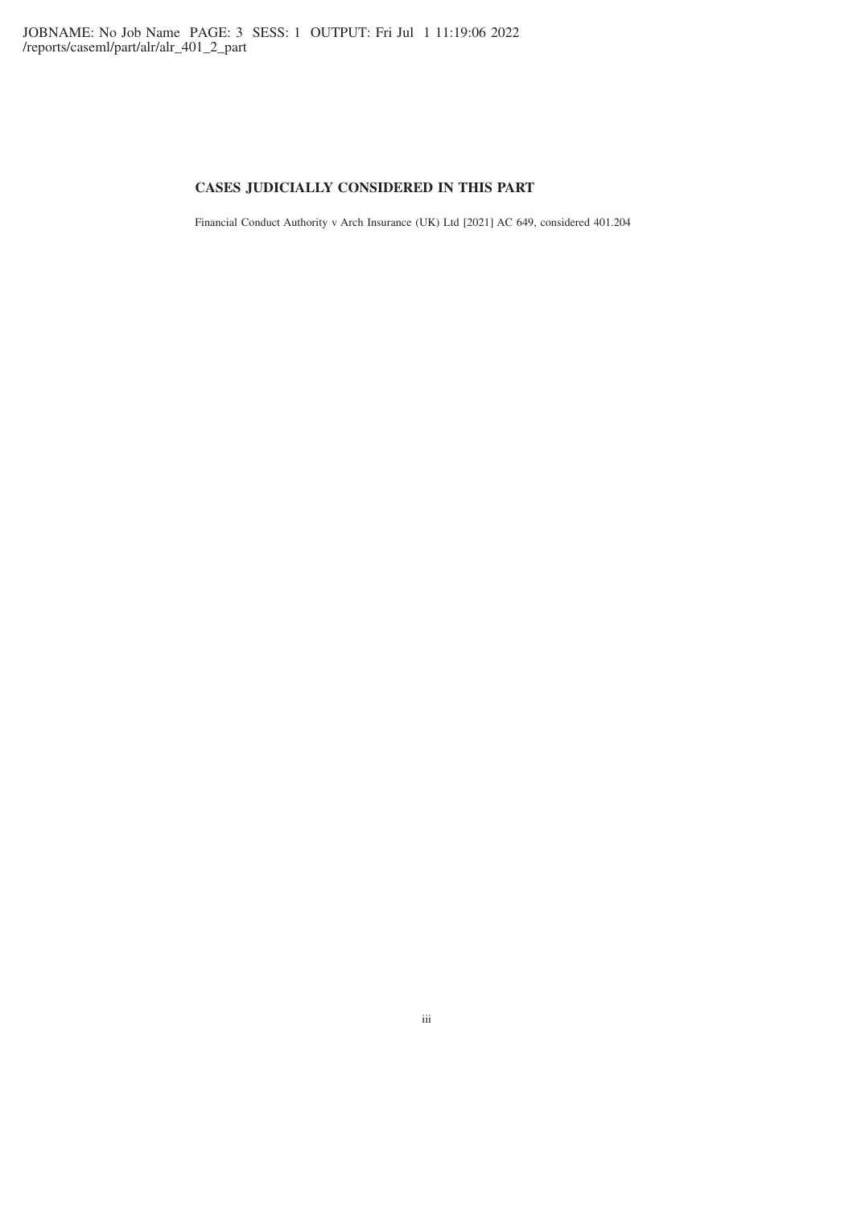# **CASES JUDICIALLY CONSIDERED IN THIS PART**

Financial Conduct Authority v Arch Insurance (UK) Ltd [2021] AC 649, considered 401.204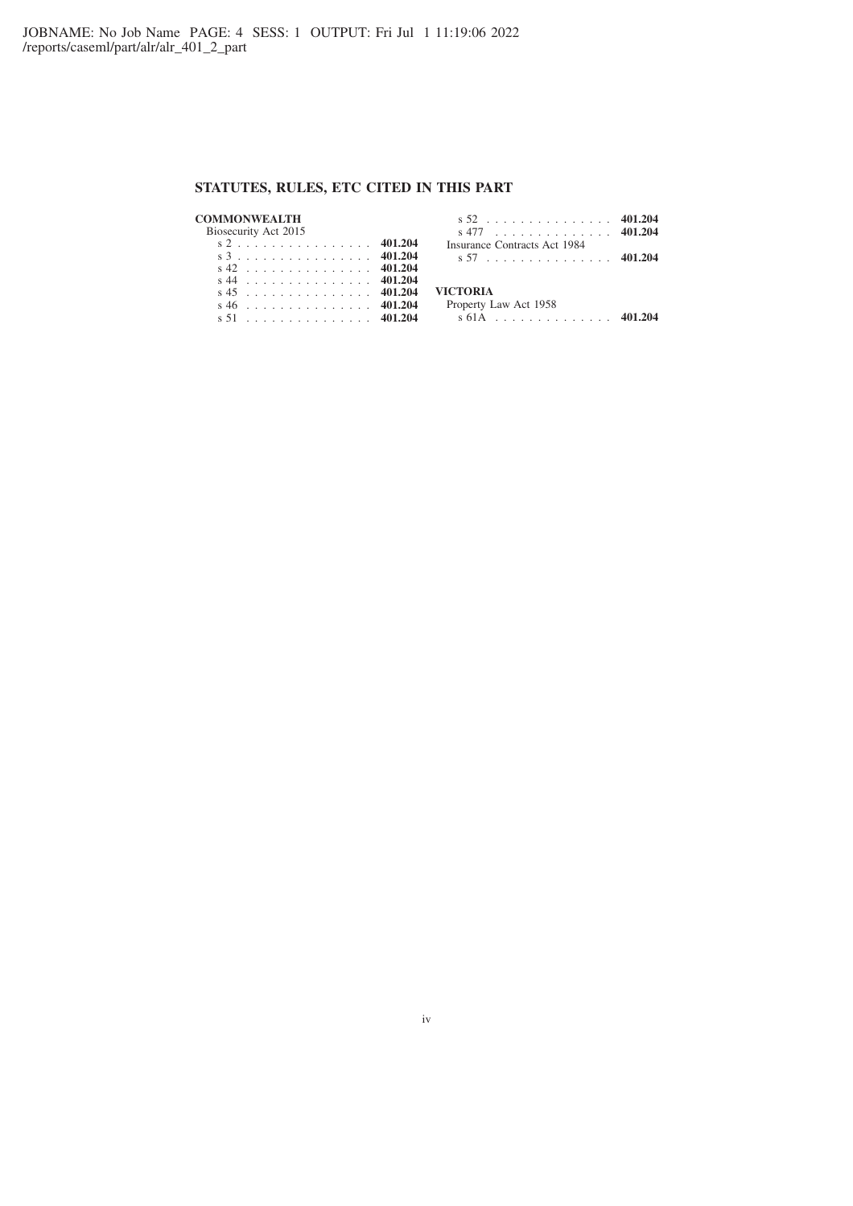# **STATUTES, RULES, ETC CITED IN THIS PART**

#### **COMMONWEALTH** Biosecurity Act 2015 s2 . . . . . . . . . . . . . . . . **401.204**

#### s 52 . . . . . . . . . . . . . . . **401.204** s 477 . . . . . . . . . . . . . . **401.204** Insurance Contracts Act 1984 s 57 . . . . . . . . . . . . . . . **401.204**

|  |  |  |  |  |  |  |  | s 3 401.204    |
|--|--|--|--|--|--|--|--|----------------|
|  |  |  |  |  |  |  |  | $s$ 42 401.204 |
|  |  |  |  |  |  |  |  | $s$ 44 401.204 |
|  |  |  |  |  |  |  |  | $s$ 45 401.204 |
|  |  |  |  |  |  |  |  | $s46$ 401.204  |
|  |  |  |  |  |  |  |  | s 51 401.204   |
|  |  |  |  |  |  |  |  |                |

# **VICTORIA**

| Property Law Act 1958 |  |  |  |
|-----------------------|--|--|--|
|-----------------------|--|--|--|

s 61A . . . . . . . . . . . . . . **401.204**